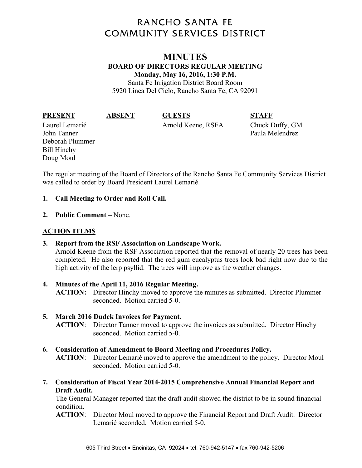# **RANCHO SANTA FE COMMUNITY SERVICES DISTRICT**

## **MINUTES BOARD OF DIRECTORS REGULAR MEETING Monday, May 16, 2016, 1:30 P.M.**

Santa Fe Irrigation District Board Room 5920 Linea Del Cielo, Rancho Santa Fe, CA 92091

**PRESENT ABSENT GUESTS STAFF** 

Laurel Lemarié Arnold Keene, RSFA Chuck Duffy, GM

John Tanner Paula Melendrez Deborah Plummer Bill Hinchy Doug Moul

The regular meeting of the Board of Directors of the Rancho Santa Fe Community Services District was called to order by Board President Laurel Lemarié.

## **1. Call Meeting to Order and Roll Call.**

**2. Public Comment** – None.

## **ACTION ITEMS**

- **3. Report from the RSF Association on Landscape Work.**  Arnold Keene from the RSF Association reported that the removal of nearly 20 trees has been completed. He also reported that the red gum eucalyptus trees look bad right now due to the high activity of the lerp psyllid. The trees will improve as the weather changes.
- **4. Minutes of the April 11, 2016 Regular Meeting. ACTION:** Director Hinchy moved to approve the minutes as submitted. Director Plummer seconded. Motion carried 5-0.

## **5. March 2016 Dudek Invoices for Payment.**

**ACTION**: Director Tanner moved to approve the invoices as submitted. Director Hinchy seconded. Motion carried 5-0.

**6. Consideration of Amendment to Board Meeting and Procedures Policy.** 

**ACTION**: Director Lemarié moved to approve the amendment to the policy. Director Moul seconded. Motion carried 5-0.

**7. Consideration of Fiscal Year 2014-2015 Comprehensive Annual Financial Report and Draft Audit.** 

The General Manager reported that the draft audit showed the district to be in sound financial condition.

**ACTION**: Director Moul moved to approve the Financial Report and Draft Audit. Director Lemarié seconded. Motion carried 5-0.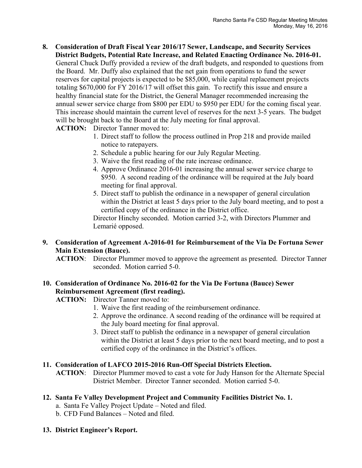**8. Consideration of Draft Fiscal Year 2016/17 Sewer, Landscape, and Security Services District Budgets, Potential Rate Increase, and Related Enacting Ordinance No. 2016-01.**  General Chuck Duffy provided a review of the draft budgets, and responded to questions from the Board. Mr. Duffy also explained that the net gain from operations to fund the sewer reserves for capital projects is expected to be \$85,000, while capital replacement projects totaling \$670,000 for FY 2016/17 will offset this gain. To rectify this issue and ensure a healthy financial state for the District, the General Manager recommended increasing the annual sewer service charge from \$800 per EDU to \$950 per EDU for the coming fiscal year. This increase should maintain the current level of reserves for the next 3-5 years. The budget will be brought back to the Board at the July meeting for final approval.

**ACTION:** Director Tanner moved to:

- 1. Direct staff to follow the process outlined in Prop 218 and provide mailed notice to ratepayers.
- 2. Schedule a public hearing for our July Regular Meeting.
- 3. Waive the first reading of the rate increase ordinance.
- 4. Approve Ordinance 2016-01 increasing the annual sewer service charge to \$950. A second reading of the ordinance will be required at the July board meeting for final approval.
- 5. Direct staff to publish the ordinance in a newspaper of general circulation within the District at least 5 days prior to the July board meeting, and to post a certified copy of the ordinance in the District office.

 Director Hinchy seconded. Motion carried 3-2, with Directors Plummer and Lemarié opposed.

#### **9. Consideration of Agreement A-2016-01 for Reimbursement of the Via De Fortuna Sewer Main Extension (Bauce).**

**ACTION**: Director Plummer moved to approve the agreement as presented. Director Tanner seconded. Motion carried 5-0.

## **10. Consideration of Ordinance No. 2016-02 for the Via De Fortuna (Bauce) Sewer Reimbursement Agreement (first reading).**

**ACTION:** Director Tanner moved to:

- 1. Waive the first reading of the reimbursement ordinance.
- 2. Approve the ordinance. A second reading of the ordinance will be required at the July board meeting for final approval.
- 3. Direct staff to publish the ordinance in a newspaper of general circulation within the District at least 5 days prior to the next board meeting, and to post a certified copy of the ordinance in the District's offices.

### **11. Consideration of LAFCO 2015-2016 Run-Off Special Districts Election.**

**ACTION**: Director Plummer moved to cast a vote for Judy Hanson for the Alternate Special District Member. Director Tanner seconded. Motion carried 5-0.

### **12. Santa Fe Valley Development Project and Community Facilities District No. 1.**

- a. Santa Fe Valley Project Update Noted and filed.
- b. CFD Fund Balances Noted and filed.

#### **13. District Engineer's Report.**